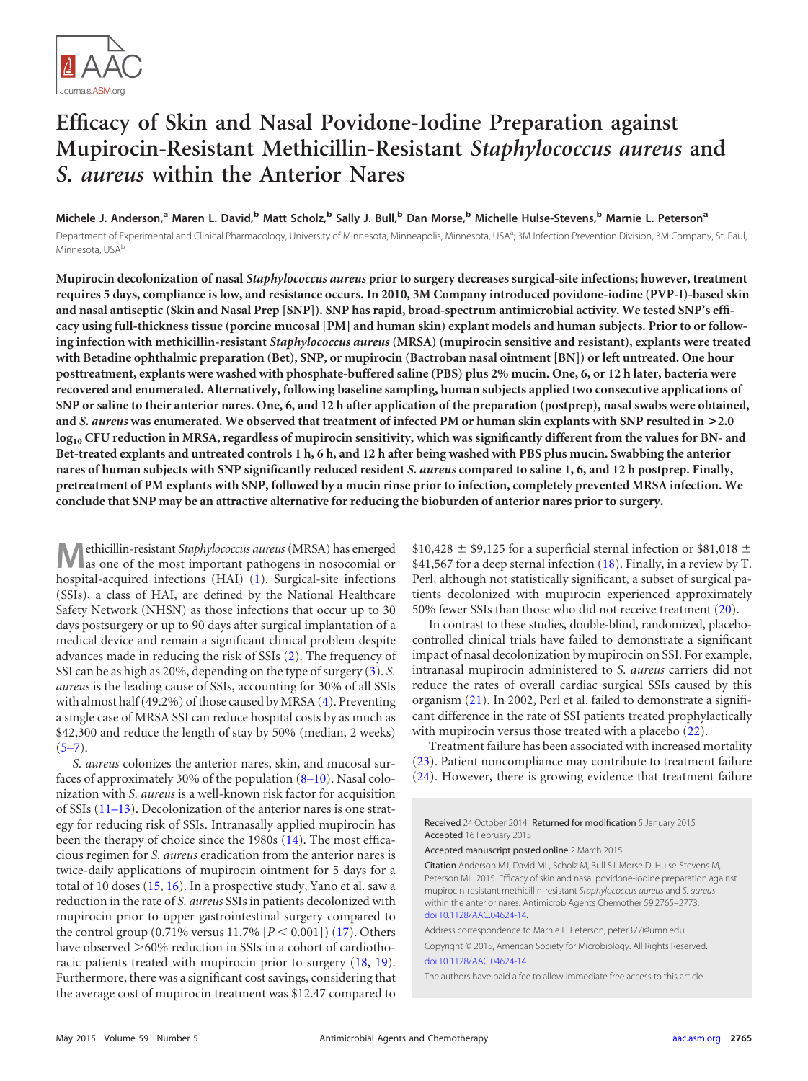

# **Efficacy of Skin and Nasal Povidone-Iodine Preparation against Mupirocin-Resistant Methicillin-Resistant** *Staphylococcus aureus* **and** *S. aureus* **within the Anterior Nares**

**Michele J. Anderson,<sup>a</sup> Maren L. David,<sup>b</sup> Matt Scholz,<sup>b</sup> Sally J. Bull,<sup>b</sup> Dan Morse,<sup>b</sup> Michelle Hulse-Stevens,<sup>b</sup> Marnie L. Peterson<sup>a</sup>** Department of Experimental and Clinical Pharmacology, University of Minnesota, Minneapolis, Minnesota, USA<sup>a</sup>; 3M Infection Prevention Division, 3M Company, St. Paul, Minnesota, USA<sup>b</sup>

**Mupirocin decolonization of nasal** *Staphylococcus aureus* **prior to surgery decreases surgical-site infections; however, treatment requires 5 days, compliance is low, and resistance occurs. In 2010, 3M Company introduced povidone-iodine (PVP-I)-based skin and nasal antiseptic (Skin and Nasal Prep [SNP]). SNP has rapid, broad-spectrum antimicrobial activity. We tested SNP's efficacy using full-thickness tissue (porcine mucosal [PM] and human skin) explant models and human subjects. Prior to or following infection with methicillin-resistant** *Staphylococcus aureus* **(MRSA) (mupirocin sensitive and resistant), explants were treated with Betadine ophthalmic preparation (Bet), SNP, or mupirocin (Bactroban nasal ointment [BN]) or left untreated. One hour posttreatment, explants were washed with phosphate-buffered saline (PBS) plus 2% mucin. One, 6, or 12 h later, bacteria were recovered and enumerated. Alternatively, following baseline sampling, human subjects applied two consecutive applications of SNP or saline to their anterior nares. One, 6, and 12 h after application of the preparation (postprep), nasal swabs were obtained, and** *S. aureus* **was enumerated. We observed that treatment of infected PM or human skin explants with SNP resulted in >2.0 log10 CFU reduction in MRSA, regardless of mupirocin sensitivity, which was significantly different from the values for BN- and Bet-treated explants and untreated controls 1 h, 6 h, and 12 h after being washed with PBS plus mucin. Swabbing the anterior nares of human subjects with SNP significantly reduced resident** *S. aureus* **compared to saline 1, 6, and 12 h postprep. Finally, pretreatment of PM explants with SNP, followed by a mucin rinse prior to infection, completely prevented MRSA infection. We conclude that SNP may be an attractive alternative for reducing the bioburden of anterior nares prior to surgery.**

**M**ethicillin-resistant *Staphylococcus aureus*(MRSA) has emerged as one of the most important pathogens in nosocomial or hospital-acquired infections (HAI) [\(1\)](#page-6-0). Surgical-site infections (SSIs), a class of HAI, are defined by the National Healthcare Safety Network (NHSN) as those infections that occur up to 30 days postsurgery or up to 90 days after surgical implantation of a medical device and remain a significant clinical problem despite advances made in reducing the risk of SSIs [\(2\)](#page-6-1). The frequency of SSI can be as high as 20%, depending on the type of surgery [\(3\)](#page-6-2). *S. aureus* is the leading cause of SSIs, accounting for 30% of all SSIs with almost half (49.2%) of those caused by MRSA [\(4\)](#page-6-3). Preventing a single case of MRSA SSI can reduce hospital costs by as much as \$42,300 and reduce the length of stay by 50% (median, 2 weeks)  $(5-7)$  $(5-7)$  $(5-7)$ .

*S. aureus* colonizes the anterior nares, skin, and mucosal surfaces of approximately 30% of the population [\(8](#page-6-7)[–](#page-6-8)[10\)](#page-6-9). Nasal colonization with *S. aureus* is a well-known risk factor for acquisition of SSIs [\(11](#page-6-10)[–](#page-6-11)[13\)](#page-6-12). Decolonization of the anterior nares is one strategy for reducing risk of SSIs. Intranasally applied mupirocin has been the therapy of choice since the 1980s [\(14\)](#page-6-13). The most efficacious regimen for *S. aureus* eradication from the anterior nares is twice-daily applications of mupirocin ointment for 5 days for a total of 10 doses [\(15,](#page-6-14) [16\)](#page-6-15). In a prospective study, Yano et al. saw a reduction in the rate of *S. aureus* SSIs in patients decolonized with mupirocin prior to upper gastrointestinal surgery compared to the control group  $(0.71\%$  versus  $11.7\%$   $[P < 0.001]$  $(17)$ . Others have observed  $>60\%$  reduction in SSIs in a cohort of cardiothoracic patients treated with mupirocin prior to surgery [\(18,](#page-7-1) [19\)](#page-7-2). Furthermore, there was a significant cost savings, considering that the average cost of mupirocin treatment was \$12.47 compared to  $$10,428 \pm $9,125$  for a superficial sternal infection or \$81,018  $\pm$ \$41,567 for a deep sternal infection  $(18)$ . Finally, in a review by T. Perl, although not statistically significant, a subset of surgical patients decolonized with mupirocin experienced approximately 50% fewer SSIs than those who did not receive treatment [\(20\)](#page-7-3).

In contrast to these studies, double-blind, randomized, placebocontrolled clinical trials have failed to demonstrate a significant impact of nasal decolonization by mupirocin on SSI. For example, intranasal mupirocin administered to *S. aureus* carriers did not reduce the rates of overall cardiac surgical SSIs caused by this organism [\(21\)](#page-7-4). In 2002, Perl et al. failed to demonstrate a significant difference in the rate of SSI patients treated prophylactically with mupirocin versus those treated with a placebo [\(22\)](#page-7-5).

Treatment failure has been associated with increased mortality [\(23\)](#page-7-6). Patient noncompliance may contribute to treatment failure [\(24\)](#page-7-7). However, there is growing evidence that treatment failure

Received 24 October 2014 Returned for modification 5 January 2015 Accepted 16 February 2015

Accepted manuscript posted online 2 March 2015

Citation Anderson MJ, David ML, Scholz M, Bull SJ, Morse D, Hulse-Stevens M, Peterson ML. 2015. Efficacy of skin and nasal povidone-iodine preparation against mupirocin-resistant methicillin-resistant *Staphylococcus aureus* and *S. aureus* within the anterior nares. Antimicrob Agents Chemother 59:2765–2773. [doi:10.1128/AAC.04624-14.](http://dx.doi.org/10.1128/AAC.04624-14)

Address correspondence to Marnie L. Peterson, peter377@umn.edu. Copyright © 2015, American Society for Microbiology. All Rights Reserved. [doi:10.1128/AAC.04624-14](http://dx.doi.org/10.1128/AAC.04624-14)

The authors have paid a fee to allow immediate free access to this article.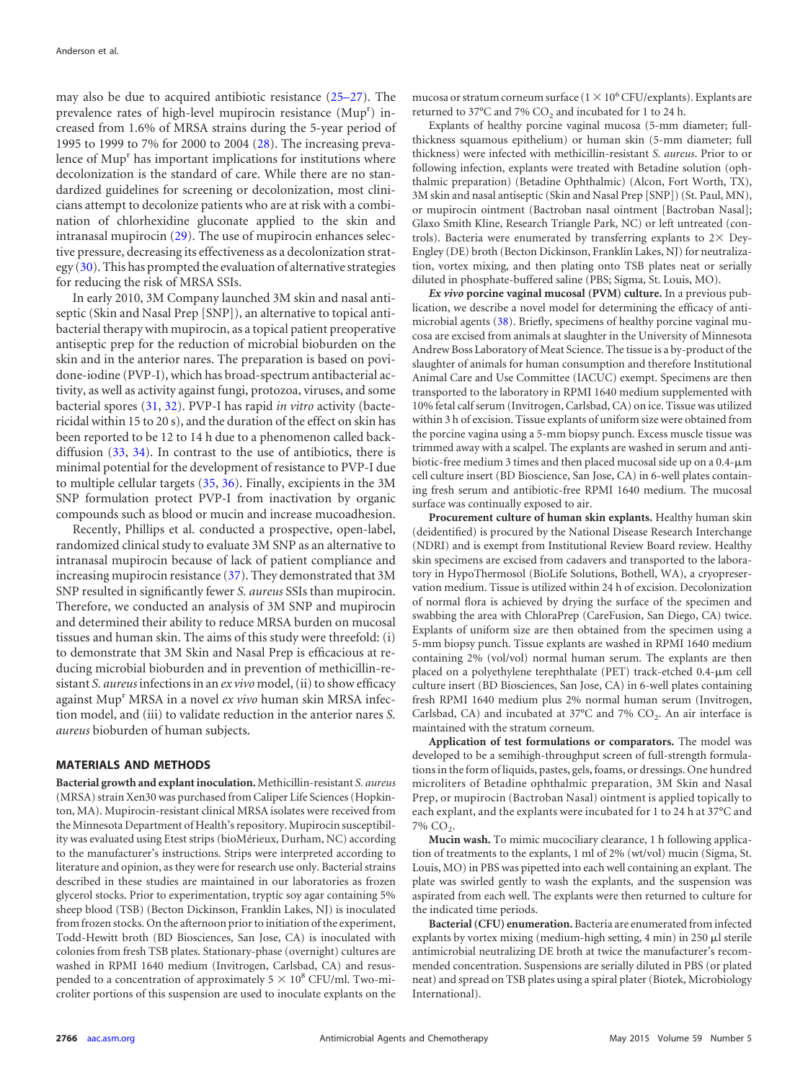may also be due to acquired antibiotic resistance [\(25](#page-7-8)[–](#page-7-9)[27\)](#page-7-10). The prevalence rates of high-level mupirocin resistance (Mup<sup>r</sup>) increased from 1.6% of MRSA strains during the 5-year period of 1995 to 1999 to 7% for 2000 to 2004 [\(28\)](#page-7-11). The increasing prevalence of Mup<sup>r</sup> has important implications for institutions where decolonization is the standard of care. While there are no standardized guidelines for screening or decolonization, most clinicians attempt to decolonize patients who are at risk with a combination of chlorhexidine gluconate applied to the skin and intranasal mupirocin [\(29\)](#page-7-12). The use of mupirocin enhances selective pressure, decreasing its effectiveness as a decolonization strategy  $(30)$ . This has prompted the evaluation of alternative strategies for reducing the risk of MRSA SSIs.

In early 2010, 3M Company launched 3M skin and nasal antiseptic (Skin and Nasal Prep [SNP]), an alternative to topical antibacterial therapy with mupirocin, as a topical patient preoperative antiseptic prep for the reduction of microbial bioburden on the skin and in the anterior nares. The preparation is based on povidone-iodine (PVP-I), which has broad-spectrum antibacterial activity, as well as activity against fungi, protozoa, viruses, and some bacterial spores [\(31,](#page-7-14) [32\)](#page-7-15). PVP-I has rapid *in vitro* activity (bactericidal within 15 to 20 s), and the duration of the effect on skin has been reported to be 12 to 14 h due to a phenomenon called backdiffusion [\(33,](#page-7-16) [34\)](#page-7-17). In contrast to the use of antibiotics, there is minimal potential for the development of resistance to PVP-I due to multiple cellular targets [\(35,](#page-7-18) [36\)](#page-7-19). Finally, excipients in the 3M SNP formulation protect PVP-I from inactivation by organic compounds such as blood or mucin and increase mucoadhesion.

Recently, Phillips et al. conducted a prospective, open-label, randomized clinical study to evaluate 3M SNP as an alternative to intranasal mupirocin because of lack of patient compliance and increasing mupirocin resistance [\(37\)](#page-7-20). They demonstrated that 3M SNP resulted in significantly fewer *S. aureus* SSIs than mupirocin. Therefore, we conducted an analysis of 3M SNP and mupirocin and determined their ability to reduce MRSA burden on mucosal tissues and human skin. The aims of this study were threefold: (i) to demonstrate that 3M Skin and Nasal Prep is efficacious at reducing microbial bioburden and in prevention of methicillin-resistant *S. aureus* infections in an *ex vivo* model, (ii) to show efficacy against Mup<sup>r</sup> MRSA in a novel ex vivo human skin MRSA infection model, and (iii) to validate reduction in the anterior nares *S. aureus* bioburden of human subjects.

## **MATERIALS AND METHODS**

**Bacterial growth and explant inoculation.** Methicillin-resistant *S. aureus* (MRSA) strain Xen30 was purchased from Caliper Life Sciences (Hopkinton, MA). Mupirocin-resistant clinical MRSA isolates were received from the Minnesota Department of Health's repository. Mupirocin susceptibility was evaluated using Etest strips (bioMérieux, Durham, NC) according to the manufacturer's instructions. Strips were interpreted according to literature and opinion, as they were for research use only. Bacterial strains described in these studies are maintained in our laboratories as frozen glycerol stocks. Prior to experimentation, tryptic soy agar containing 5% sheep blood (TSB) (Becton Dickinson, Franklin Lakes, NJ) is inoculated from frozen stocks. On the afternoon prior to initiation of the experiment, Todd-Hewitt broth (BD Biosciences, San Jose, CA) is inoculated with colonies from fresh TSB plates. Stationary-phase (overnight) cultures are washed in RPMI 1640 medium (Invitrogen, Carlsbad, CA) and resuspended to a concentration of approximately  $5 \times 10^8$  CFU/ml. Two-microliter portions of this suspension are used to inoculate explants on the

mucosa or stratum corneum surface ( $1 \times 10^6$  CFU/explants). Explants are returned to 37 $^{\circ}$ C and 7% CO<sub>2</sub> and incubated for 1 to 24 h.

Explants of healthy porcine vaginal mucosa (5-mm diameter; fullthickness squamous epithelium) or human skin (5-mm diameter; full thickness) were infected with methicillin-resistant *S. aureus*. Prior to or following infection, explants were treated with Betadine solution (ophthalmic preparation) (Betadine Ophthalmic) (Alcon, Fort Worth, TX), 3M skin and nasal antiseptic (Skin and Nasal Prep [SNP]) (St. Paul, MN), or mupirocin ointment (Bactroban nasal ointment [Bactroban Nasal]; Glaxo Smith Kline, Research Triangle Park, NC) or left untreated (controls). Bacteria were enumerated by transferring explants to  $2\times$  Dey-Engley (DE) broth (Becton Dickinson, Franklin Lakes, NJ) for neutralization, vortex mixing, and then plating onto TSB plates neat or serially diluted in phosphate-buffered saline (PBS; Sigma, St. Louis, MO).

*Ex vivo* **porcine vaginal mucosal (PVM) culture.** In a previous publication, we describe a novel model for determining the efficacy of antimicrobial agents [\(38\)](#page-7-21). Briefly, specimens of healthy porcine vaginal mucosa are excised from animals at slaughter in the University of Minnesota Andrew Boss Laboratory of Meat Science. The tissue is a by-product of the slaughter of animals for human consumption and therefore Institutional Animal Care and Use Committee (IACUC) exempt. Specimens are then transported to the laboratory in RPMI 1640 medium supplemented with 10% fetal calf serum (Invitrogen, Carlsbad, CA) on ice. Tissue was utilized within 3 h of excision. Tissue explants of uniform size were obtained from the porcine vagina using a 5-mm biopsy punch. Excess muscle tissue was trimmed away with a scalpel. The explants are washed in serum and antibiotic-free medium 3 times and then placed mucosal side up on a 0.4- $\mu$ m cell culture insert (BD Bioscience, San Jose, CA) in 6-well plates containing fresh serum and antibiotic-free RPMI 1640 medium. The mucosal surface was continually exposed to air.

**Procurement culture of human skin explants.** Healthy human skin (deidentified) is procured by the National Disease Research Interchange (NDRI) and is exempt from Institutional Review Board review. Healthy skin specimens are excised from cadavers and transported to the laboratory in HypoThermosol (BioLife Solutions, Bothell, WA), a cryopreservation medium. Tissue is utilized within 24 h of excision. Decolonization of normal flora is achieved by drying the surface of the specimen and swabbing the area with ChloraPrep (CareFusion, San Diego, CA) twice. Explants of uniform size are then obtained from the specimen using a 5-mm biopsy punch. Tissue explants are washed in RPMI 1640 medium containing 2% (vol/vol) normal human serum. The explants are then placed on a polyethylene terephthalate (PET) track-etched 0.4-um cell culture insert (BD Biosciences, San Jose, CA) in 6-well plates containing fresh RPMI 1640 medium plus 2% normal human serum (Invitrogen, Carlsbad, CA) and incubated at  $37^{\circ}$ C and  $7\%$  CO<sub>2</sub>. An air interface is maintained with the stratum corneum.

**Application of test formulations or comparators.** The model was developed to be a semihigh-throughput screen of full-strength formulations in the form of liquids, pastes, gels, foams, or dressings. One hundred microliters of Betadine ophthalmic preparation, 3M Skin and Nasal Prep, or mupirocin (Bactroban Nasal) ointment is applied topically to each explant, and the explants were incubated for 1 to 24 h at 37°C and 7% CO<sub>2</sub>.

**Mucin wash.** To mimic mucociliary clearance, 1 h following application of treatments to the explants, 1 ml of 2% (wt/vol) mucin (Sigma, St. Louis, MO) in PBS was pipetted into each well containing an explant. The plate was swirled gently to wash the explants, and the suspension was aspirated from each well. The explants were then returned to culture for the indicated time periods.

**Bacterial (CFU) enumeration.** Bacteria are enumerated from infected explants by vortex mixing (medium-high setting,  $4$  min) in 250  $\mu$ l sterile antimicrobial neutralizing DE broth at twice the manufacturer's recommended concentration. Suspensions are serially diluted in PBS (or plated neat) and spread on TSB plates using a spiral plater (Biotek, Microbiology International).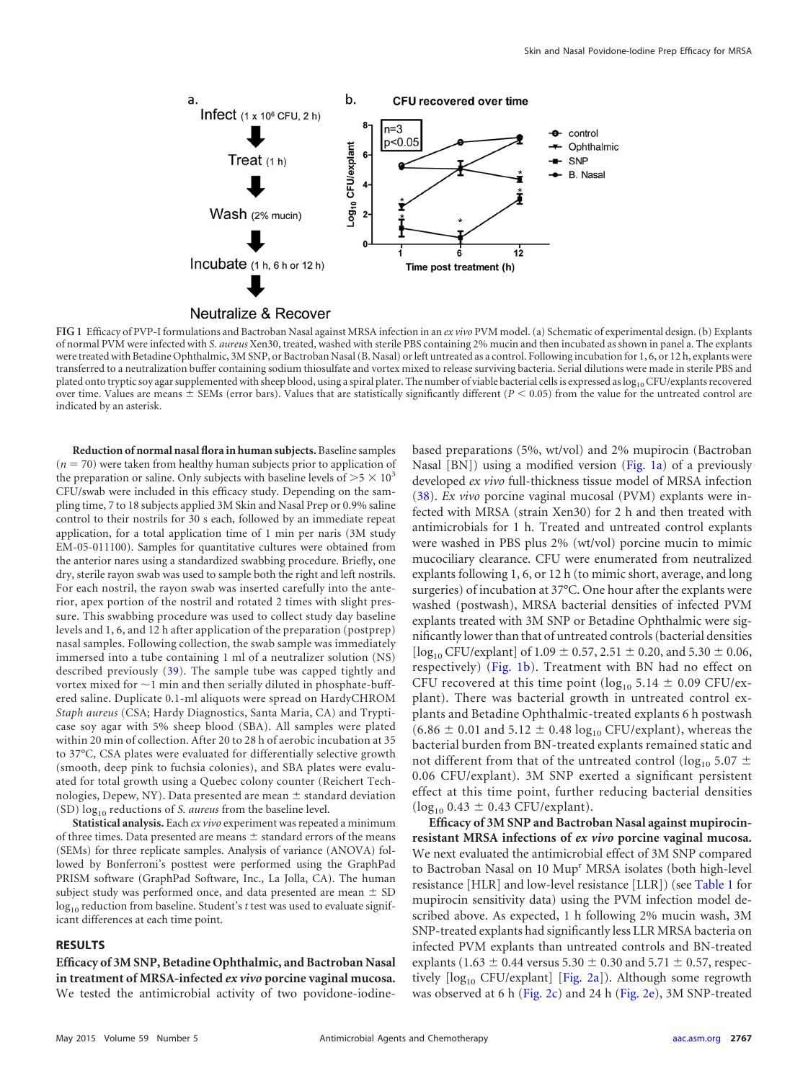

<span id="page-2-0"></span>**FIG 1** Efficacy of PVP-I formulations and Bactroban Nasal against MRSA infection in an *ex vivo* PVM model. (a) Schematic of experimental design. (b) Explants of normal PVM were infected with *S. aureus* Xen30, treated, washed with sterile PBS containing 2% mucin and then incubated as shown in panel a. The explants were treated with Betadine Ophthalmic, 3M SNP, or Bactroban Nasal (B. Nasal) or left untreated as a control. Following incubation for 1, 6, or 12 h, explants were transferred to a neutralization buffer containing sodium thiosulfate and vortex mixed to release surviving bacteria. Serial dilutions were made in sterile PBS and plated onto tryptic soy agar supplemented with sheep blood, using a spiral plater. The number of viable bacterial cells is expressed as log<sub>10</sub> CFU/explants recovered over time. Values are means  $\pm$  SEMs (error bars). Values that are statistically significantly different ( $P < 0.05$ ) from the value for the untreated control are indicated by an asterisk.

**Reduction of normal nasal flora in human subjects.** Baseline samples  $(n = 70)$  were taken from healthy human subjects prior to application of the preparation or saline. Only subjects with baseline levels of  $>5 \times 10^3$ CFU/swab were included in this efficacy study. Depending on the sampling time, 7 to 18 subjects applied 3M Skin and Nasal Prep or 0.9% saline control to their nostrils for 30 s each, followed by an immediate repeat application, for a total application time of 1 min per naris (3M study EM-05-011100). Samples for quantitative cultures were obtained from the anterior nares using a standardized swabbing procedure. Briefly, one dry, sterile rayon swab was used to sample both the right and left nostrils. For each nostril, the rayon swab was inserted carefully into the anterior, apex portion of the nostril and rotated 2 times with slight pressure. This swabbing procedure was used to collect study day baseline levels and 1, 6, and 12 h after application of the preparation (postprep) nasal samples. Following collection, the swab sample was immediately immersed into a tube containing 1 ml of a neutralizer solution (NS) described previously [\(39\)](#page-7-22). The sample tube was capped tightly and vortex mixed for  $\sim$  1 min and then serially diluted in phosphate-buffered saline. Duplicate 0.1-ml aliquots were spread on HardyCHROM *Staph aureus* (CSA; Hardy Diagnostics, Santa Maria, CA) and Trypticase soy agar with 5% sheep blood (SBA). All samples were plated within 20 min of collection. After 20 to 28 h of aerobic incubation at 35 to 37°C, CSA plates were evaluated for differentially selective growth (smooth, deep pink to fuchsia colonies), and SBA plates were evaluated for total growth using a Quebec colony counter (Reichert Technologies, Depew, NY). Data presented are mean  $\pm$  standard deviation (SD)  $log_{10}$  reductions of *S. aureus* from the baseline level.

**Statistical analysis.** Each *ex vivo* experiment was repeated a minimum of three times. Data presented are means  $\pm$  standard errors of the means (SEMs) for three replicate samples. Analysis of variance (ANOVA) followed by Bonferroni's posttest were performed using the GraphPad PRISM software (GraphPad Software, Inc., La Jolla, CA). The human subject study was performed once, and data presented are mean  $\pm$  SD log<sub>10</sub> reduction from baseline. Student's *t* test was used to evaluate significant differences at each time point.

### **RESULTS**

**Efficacy of 3M SNP, Betadine Ophthalmic, and Bactroban Nasal in treatment of MRSA-infected** *ex vivo* **porcine vaginal mucosa.** We tested the antimicrobial activity of two povidone-iodinebased preparations (5%, wt/vol) and 2% mupirocin (Bactroban Nasal [BN]) using a modified version [\(Fig. 1a\)](#page-2-0) of a previously developed *ex vivo* full-thickness tissue model of MRSA infection [\(38\)](#page-7-21). *Ex vivo* porcine vaginal mucosal (PVM) explants were infected with MRSA (strain Xen30) for 2 h and then treated with antimicrobials for 1 h. Treated and untreated control explants were washed in PBS plus 2% (wt/vol) porcine mucin to mimic mucociliary clearance. CFU were enumerated from neutralized explants following 1, 6, or 12 h (to mimic short, average, and long surgeries) of incubation at 37°C. One hour after the explants were washed (postwash), MRSA bacterial densities of infected PVM explants treated with 3M SNP or Betadine Ophthalmic were significantly lower than that of untreated controls (bacterial densities  $\log_{10}$  CFU/explant] of 1.09  $\pm$  0.57, 2.51  $\pm$  0.20, and 5.30  $\pm$  0.06, respectively) [\(Fig. 1b\)](#page-2-0). Treatment with BN had no effect on CFU recovered at this time point ( $log_{10} 5.14 \pm 0.09$  CFU/explant). There was bacterial growth in untreated control explants and Betadine Ophthalmic-treated explants 6 h postwash  $(6.86 \pm 0.01$  and  $5.12 \pm 0.48 \log_{10} CFU/explant)$ , whereas the bacterial burden from BN-treated explants remained static and not different from that of the untreated control ( $log_{10} 5.07 \pm$ 0.06 CFU/explant). 3M SNP exerted a significant persistent effect at this time point, further reducing bacterial densities  $(log_{10} 0.43 \pm 0.43$  CFU/explant).

**Efficacy of 3M SNP and Bactroban Nasal against mupirocinresistant MRSA infections of** *ex vivo* **porcine vaginal mucosa.** We next evaluated the antimicrobial effect of 3M SNP compared to Bactroban Nasal on 10 Mup<sup>r</sup> MRSA isolates (both high-level resistance [HLR] and low-level resistance [LLR]) (see [Table 1](#page-3-0) for mupirocin sensitivity data) using the PVM infection model described above. As expected, 1 h following 2% mucin wash, 3M SNP-treated explants had significantly less LLR MRSA bacteria on infected PVM explants than untreated controls and BN-treated explants (1.63  $\pm$  0.44 versus 5.30  $\pm$  0.30 and 5.71  $\pm$  0.57, respectively  $\lceil \log_{10} CFU/explant \rceil$  [\[Fig. 2a\]](#page-3-1)). Although some regrowth was observed at 6 h [\(Fig. 2c\)](#page-3-1) and 24 h [\(Fig. 2e\)](#page-3-1), 3M SNP-treated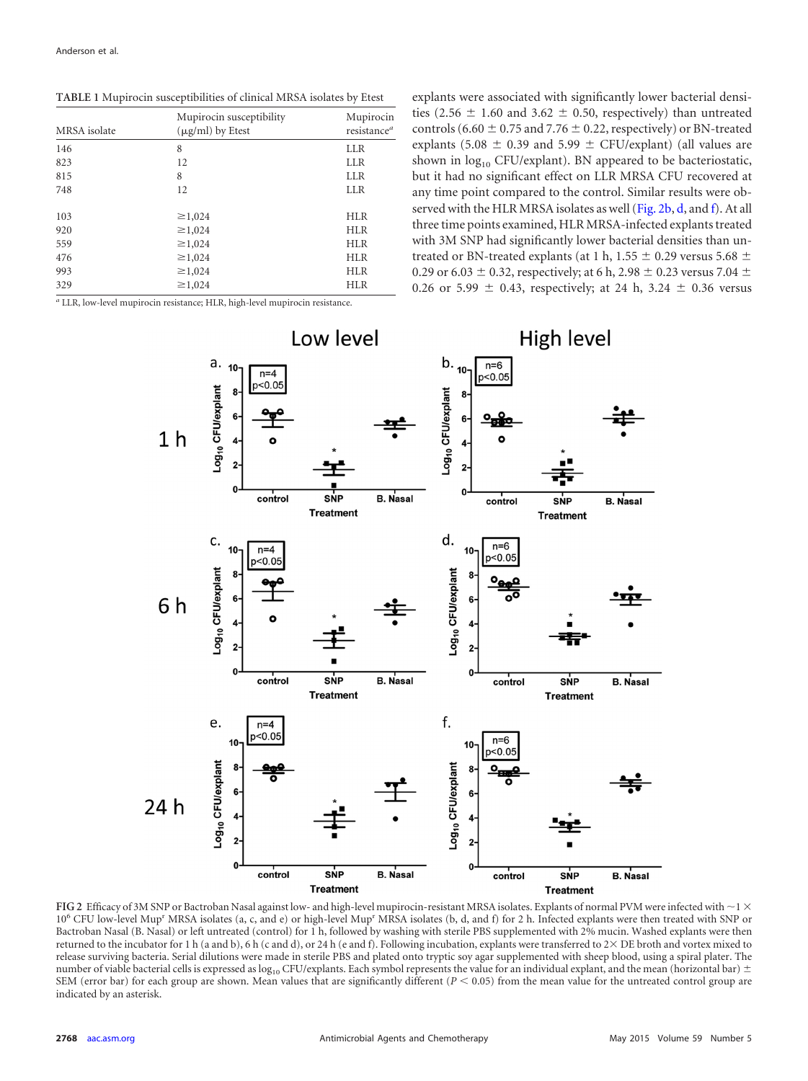<span id="page-3-0"></span>**TABLE 1** Mupirocin susceptibilities of clinical MRSA isolates by Etest

| MRSA isolate | Mupirocin susceptibility<br>$(\mu g/ml)$ by Etest | Mupirocin<br>resistance <sup>a</sup> |
|--------------|---------------------------------------------------|--------------------------------------|
| 146          | 8                                                 | <b>LLR</b>                           |
| 823          | 12                                                | <b>LLR</b>                           |
| 815          | 8                                                 | <b>LLR</b>                           |
| 748          | 12                                                | <b>LLR</b>                           |
| 103          | $\geq 1,024$                                      | <b>HLR</b>                           |
| 920          | $\geq 1,024$                                      | <b>HLR</b>                           |
| 559          | $\geq 1,024$                                      | <b>HLR</b>                           |
| 476          | $\geq 1,024$                                      | <b>HLR</b>                           |
| 993          | $\geq 1,024$                                      | <b>HLR</b>                           |
| 329          | $\geq 1,024$                                      | <b>HLR</b>                           |
|              |                                                   |                                      |

*<sup>a</sup>* LLR, low-level mupirocin resistance; HLR, high-level mupirocin resistance.

explants were associated with significantly lower bacterial densities (2.56  $\pm$  1.60 and 3.62  $\pm$  0.50, respectively) than untreated controls (6.60  $\pm$  0.75 and 7.76  $\pm$  0.22, respectively) or BN-treated explants (5.08  $\pm$  0.39 and 5.99  $\pm$  CFU/explant) (all values are shown in  $log_{10}$  CFU/explant). BN appeared to be bacteriostatic, but it had no significant effect on LLR MRSA CFU recovered at any time point compared to the control. Similar results were ob-served with the HLR MRSA isolates as well [\(Fig. 2b,](#page-3-1) [d,](#page-3-1) and [f\)](#page-3-1). At all three time points examined, HLR MRSA-infected explants treated with 3M SNP had significantly lower bacterial densities than untreated or BN-treated explants (at 1 h, 1.55  $\pm$  0.29 versus 5.68  $\pm$ 0.29 or 6.03  $\pm$  0.32, respectively; at 6 h, 2.98  $\pm$  0.23 versus 7.04  $\pm$ 0.26 or 5.99  $\pm$  0.43, respectively; at 24 h, 3.24  $\pm$  0.36 versus



<span id="page-3-1"></span>FIG 2 Efficacy of 3M SNP or Bactroban Nasal against low- and high-level mupirocin-resistant MRSA isolates. Explants of normal PVM were infected with  $\sim$  1  $\times$ 10<sup>6</sup> CFU low-level Mup<sup>r</sup> MRSA isolates (a, c, and e) or high-level Mup<sup>r</sup> MRSA isolates (b, d, and f) for 2 h. Infected explants were then treated with SNP or Bactroban Nasal (B. Nasal) or left untreated (control) for 1 h, followed by washing with sterile PBS supplemented with 2% mucin. Washed explants were then returned to the incubator for 1 h (a and b), 6 h (c and d), or 24 h (e and f). Following incubation, explants were transferred to  $2\times$  DE broth and vortex mixed to release surviving bacteria. Serial dilutions were made in sterile PBS and plated onto tryptic soy agar supplemented with sheep blood, using a spiral plater. The number of viable bacterial cells is expressed as  $\log_{10}$  CFU/explants. Each symbol represents the value for an individual explant, and the mean (horizontal bar)  $\pm$ SEM (error bar) for each group are shown. Mean values that are significantly different ( $P < 0.05$ ) from the mean value for the untreated control group are indicated by an asterisk.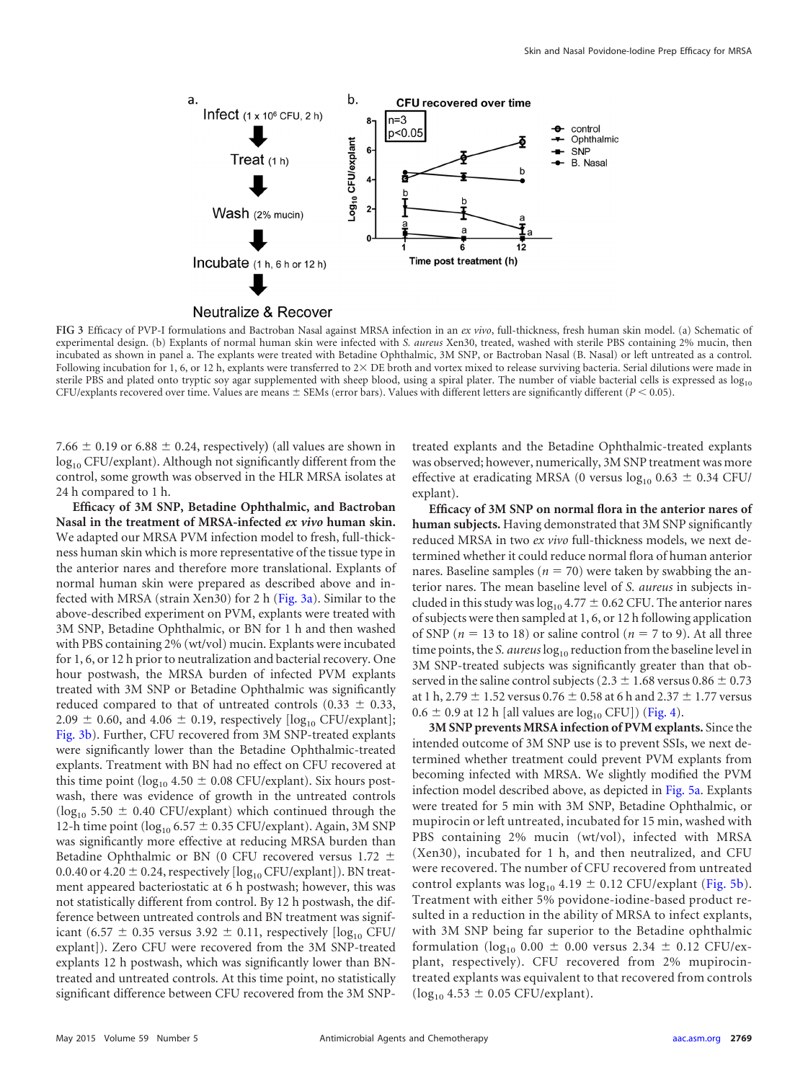

<span id="page-4-0"></span>**FIG 3** Efficacy of PVP-I formulations and Bactroban Nasal against MRSA infection in an *ex vivo*, full-thickness, fresh human skin model. (a) Schematic of experimental design. (b) Explants of normal human skin were infected with *S. aureus* Xen30, treated, washed with sterile PBS containing 2% mucin, then incubated as shown in panel a. The explants were treated with Betadine Ophthalmic, 3M SNP, or Bactroban Nasal (B. Nasal) or left untreated as a control. Following incubation for 1, 6, or 12 h, explants were transferred to  $2 \times$  DE broth and vortex mixed to release surviving bacteria. Serial dilutions were made in sterile PBS and plated onto tryptic soy agar supplemented with sheep blood, using a spiral plater. The number of viable bacterial cells is expressed as  $\log_{10}$ CFU/explants recovered over time. Values are means  $\pm$  SEMs (error bars). Values with different letters are significantly different ( $P$  < 0.05).

7.66  $\pm$  0.19 or 6.88  $\pm$  0.24, respectively) (all values are shown in log<sub>10</sub> CFU/explant). Although not significantly different from the control, some growth was observed in the HLR MRSA isolates at 24 h compared to 1 h.

**Efficacy of 3M SNP, Betadine Ophthalmic, and Bactroban Nasal in the treatment of MRSA-infected** *ex vivo* **human skin.** We adapted our MRSA PVM infection model to fresh, full-thickness human skin which is more representative of the tissue type in the anterior nares and therefore more translational. Explants of normal human skin were prepared as described above and in-fected with MRSA (strain Xen30) for 2 h [\(Fig. 3a\)](#page-4-0). Similar to the above-described experiment on PVM, explants were treated with 3M SNP, Betadine Ophthalmic, or BN for 1 h and then washed with PBS containing 2% (wt/vol) mucin. Explants were incubated for 1, 6, or 12 h prior to neutralization and bacterial recovery. One hour postwash, the MRSA burden of infected PVM explants treated with 3M SNP or Betadine Ophthalmic was significantly reduced compared to that of untreated controls (0.33  $\pm$  0.33, 2.09  $\pm$  0.60, and 4.06  $\pm$  0.19, respectively [log<sub>10</sub> CFU/explant]; [Fig. 3b\)](#page-4-0). Further, CFU recovered from 3M SNP-treated explants were significantly lower than the Betadine Ophthalmic-treated explants. Treatment with BN had no effect on CFU recovered at this time point ( $log_{10}$  4.50  $\pm$  0.08 CFU/explant). Six hours postwash, there was evidence of growth in the untreated controls ( $log_{10}$  5.50  $\pm$  0.40 CFU/explant) which continued through the 12-h time point ( $\log_{10} 6.57 \pm 0.35$  CFU/explant). Again, 3M SNP was significantly more effective at reducing MRSA burden than Betadine Ophthalmic or BN (0 CFU recovered versus 1.72  $\pm$ 0.0.40 or 4.20  $\pm$  0.24, respectively [log<sub>10</sub> CFU/explant]). BN treatment appeared bacteriostatic at 6 h postwash; however, this was not statistically different from control. By 12 h postwash, the difference between untreated controls and BN treatment was significant (6.57  $\pm$  0.35 versus 3.92  $\pm$  0.11, respectively [log<sub>10</sub> CFU/ explant]). Zero CFU were recovered from the 3M SNP-treated explants 12 h postwash, which was significantly lower than BNtreated and untreated controls. At this time point, no statistically significant difference between CFU recovered from the 3M SNP-

treated explants and the Betadine Ophthalmic-treated explants was observed; however, numerically, 3M SNP treatment was more effective at eradicating MRSA (0 versus  $log_{10} 0.63 \pm 0.34$  CFU/ explant).

**Efficacy of 3M SNP on normal flora in the anterior nares of human subjects.** Having demonstrated that 3M SNP significantly reduced MRSA in two *ex vivo* full-thickness models, we next determined whether it could reduce normal flora of human anterior nares. Baseline samples ( $n = 70$ ) were taken by swabbing the anterior nares. The mean baseline level of *S. aureus* in subjects included in this study was  $\log_{10} 4.77 \pm 0.62$  CFU. The anterior nares of subjects were then sampled at 1, 6, or 12 h following application of SNP ( $n = 13$  to 18) or saline control ( $n = 7$  to 9). At all three time points, the *S. aureus* log<sub>10</sub> reduction from the baseline level in 3M SNP-treated subjects was significantly greater than that observed in the saline control subjects (2.3  $\pm$  1.68 versus 0.86  $\pm$  0.73 at 1 h, 2.79  $\pm$  1.52 versus 0.76  $\pm$  0.58 at 6 h and 2.37  $\pm$  1.77 versus  $0.6 \pm 0.9$  at 12 h [all values are  $log_{10}$  CFU]) [\(Fig. 4\)](#page-5-0).

**3M SNP prevents MRSA infection of PVM explants.** Since the intended outcome of 3M SNP use is to prevent SSIs, we next determined whether treatment could prevent PVM explants from becoming infected with MRSA. We slightly modified the PVM infection model described above, as depicted in [Fig. 5a.](#page-5-1) Explants were treated for 5 min with 3M SNP, Betadine Ophthalmic, or mupirocin or left untreated, incubated for 15 min, washed with PBS containing 2% mucin (wt/vol), infected with MRSA (Xen30), incubated for 1 h, and then neutralized, and CFU were recovered. The number of CFU recovered from untreated control explants was  $log_{10} 4.19 \pm 0.12$  CFU/explant [\(Fig. 5b\)](#page-5-1). Treatment with either 5% povidone-iodine-based product resulted in a reduction in the ability of MRSA to infect explants, with 3M SNP being far superior to the Betadine ophthalmic formulation ( $log_{10} 0.00 \pm 0.00$  versus 2.34  $\pm$  0.12 CFU/explant, respectively). CFU recovered from 2% mupirocintreated explants was equivalent to that recovered from controls  $(log_{10} 4.53 \pm 0.05$  CFU/explant).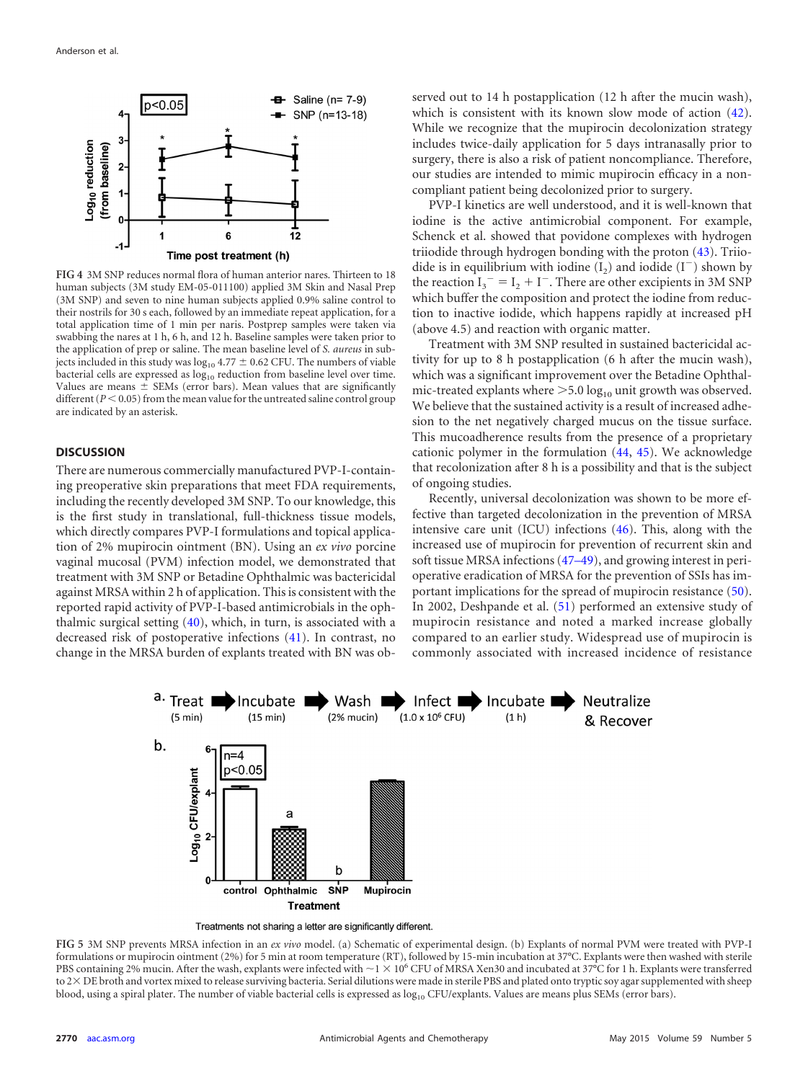

<span id="page-5-0"></span>**FIG 4** 3M SNP reduces normal flora of human anterior nares. Thirteen to 18 human subjects (3M study EM-05-011100) applied 3M Skin and Nasal Prep (3M SNP) and seven to nine human subjects applied 0.9% saline control to their nostrils for 30 s each, followed by an immediate repeat application, for a total application time of 1 min per naris. Postprep samples were taken via swabbing the nares at 1 h, 6 h, and 12 h. Baseline samples were taken prior to the application of prep or saline. The mean baseline level of *S. aureus* in subjects included in this study was  $\log_{10}$  4.77  $\pm$  0.62 CFU. The numbers of viable bacterial cells are expressed as  $log_{10}$  reduction from baseline level over time. Values are means  $\pm$  SEMs (error bars). Mean values that are significantly different  $(P < 0.05)$  from the mean value for the untreated saline control group are indicated by an asterisk.

## **DISCUSSION**

There are numerous commercially manufactured PVP-I-containing preoperative skin preparations that meet FDA requirements, including the recently developed 3M SNP. To our knowledge, this is the first study in translational, full-thickness tissue models, which directly compares PVP-I formulations and topical application of 2% mupirocin ointment (BN). Using an *ex vivo* porcine vaginal mucosal (PVM) infection model, we demonstrated that treatment with 3M SNP or Betadine Ophthalmic was bactericidal against MRSA within 2 h of application. This is consistent with the reported rapid activity of PVP-I-based antimicrobials in the ophthalmic surgical setting [\(40\)](#page-7-23), which, in turn, is associated with a decreased risk of postoperative infections [\(41\)](#page-7-24). In contrast, no change in the MRSA burden of explants treated with BN was observed out to 14 h postapplication (12 h after the mucin wash), which is consistent with its known slow mode of action  $(42)$ . While we recognize that the mupirocin decolonization strategy includes twice-daily application for 5 days intranasally prior to surgery, there is also a risk of patient noncompliance. Therefore, our studies are intended to mimic mupirocin efficacy in a noncompliant patient being decolonized prior to surgery.

PVP-I kinetics are well understood, and it is well-known that iodine is the active antimicrobial component. For example, Schenck et al. showed that povidone complexes with hydrogen triiodide through hydrogen bonding with the proton [\(43\)](#page-7-26). Triiodide is in equilibrium with iodine  $(I_2)$  and iodide  $(I^-)$  shown by the reaction  $I_3$ <sup>-</sup> =  $I_2$  + I<sup>-</sup>. There are other excipients in 3M SNP which buffer the composition and protect the iodine from reduction to inactive iodide, which happens rapidly at increased pH (above 4.5) and reaction with organic matter.

Treatment with 3M SNP resulted in sustained bactericidal activity for up to 8 h postapplication (6 h after the mucin wash), which was a significant improvement over the Betadine Ophthalmic-treated explants where  $>5.0 \log_{10}$  unit growth was observed. We believe that the sustained activity is a result of increased adhesion to the net negatively charged mucus on the tissue surface. This mucoadherence results from the presence of a proprietary cationic polymer in the formulation [\(44,](#page-7-27) [45\)](#page-7-28). We acknowledge that recolonization after 8 h is a possibility and that is the subject of ongoing studies.

Recently, universal decolonization was shown to be more effective than targeted decolonization in the prevention of MRSA intensive care unit (ICU) infections [\(46\)](#page-7-29). This, along with the increased use of mupirocin for prevention of recurrent skin and soft tissue MRSA infections [\(47](#page-7-30)[–](#page-7-31)[49\)](#page-7-32), and growing interest in perioperative eradication of MRSA for the prevention of SSIs has important implications for the spread of mupirocin resistance [\(50\)](#page-7-33). In 2002, Deshpande et al. [\(51\)](#page-7-34) performed an extensive study of mupirocin resistance and noted a marked increase globally compared to an earlier study. Widespread use of mupirocin is commonly associated with increased incidence of resistance



Treatments not sharing a letter are significantly different.

<span id="page-5-1"></span>**FIG 5** 3M SNP prevents MRSA infection in an *ex vivo* model. (a) Schematic of experimental design. (b) Explants of normal PVM were treated with PVP-I formulations or mupirocin ointment (2%) for 5 min at room temperature (RT), followed by 15-min incubation at 37°C. Explants were then washed with sterile PBS containing 2% mucin. After the wash, explants were infected with  $\sim$  1  $\times$  10<sup>6</sup> CFU of MRSA Xen30 and incubated at 37°C for 1 h. Explants were transferred to 2× DE broth and vortex mixed to release surviving bacteria. Serial dilutions were made in sterile PBS and plated onto tryptic soy agar supplemented with sheep blood, using a spiral plater. The number of viable bacterial cells is expressed as  $log_{10}$  CFU/explants. Values are means plus SEMs (error bars).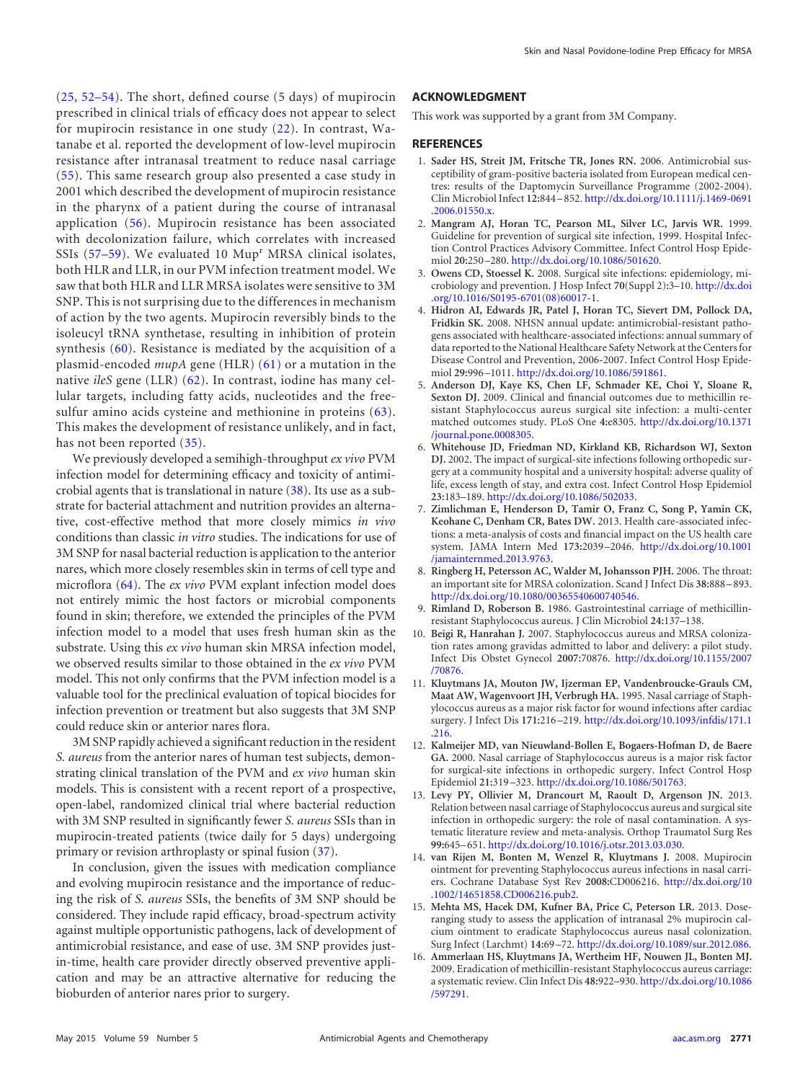[\(25,](#page-7-8) [52](#page-7-35)[–](#page-7-36)[54\)](#page-8-0). The short, defined course (5 days) of mupirocin prescribed in clinical trials of efficacy does not appear to select for mupirocin resistance in one study [\(22\)](#page-7-5). In contrast, Watanabe et al. reported the development of low-level mupirocin resistance after intranasal treatment to reduce nasal carriage [\(55\)](#page-8-1). This same research group also presented a case study in 2001 which described the development of mupirocin resistance in the pharynx of a patient during the course of intranasal application [\(56\)](#page-8-2). Mupirocin resistance has been associated with decolonization failure, which correlates with increased SSIs  $(57-59)$  $(57-59)$  $(57-59)$ . We evaluated 10 Mup<sup>r</sup> MRSA clinical isolates, both HLR and LLR, in our PVM infection treatment model. We saw that both HLR and LLR MRSA isolates were sensitive to 3M SNP. This is not surprising due to the differences in mechanism of action by the two agents. Mupirocin reversibly binds to the isoleucyl tRNA synthetase, resulting in inhibition of protein synthesis [\(60\)](#page-8-6). Resistance is mediated by the acquisition of a plasmid-encoded *mupA* gene (HLR) [\(61\)](#page-8-7) or a mutation in the native *ileS* gene (LLR) [\(62\)](#page-8-8). In contrast, iodine has many cellular targets, including fatty acids, nucleotides and the freesulfur amino acids cysteine and methionine in proteins [\(63\)](#page-8-9). This makes the development of resistance unlikely, and in fact, has not been reported [\(35\)](#page-7-18).

We previously developed a semihigh-throughput *ex vivo* PVM infection model for determining efficacy and toxicity of antimicrobial agents that is translational in nature [\(38\)](#page-7-21). Its use as a substrate for bacterial attachment and nutrition provides an alternative, cost-effective method that more closely mimics *in vivo* conditions than classic *in vitro* studies. The indications for use of 3M SNP for nasal bacterial reduction is application to the anterior nares, which more closely resembles skin in terms of cell type and microflora [\(64\)](#page-8-10). The *ex vivo* PVM explant infection model does not entirely mimic the host factors or microbial components found in skin; therefore, we extended the principles of the PVM infection model to a model that uses fresh human skin as the substrate. Using this *ex vivo* human skin MRSA infection model, we observed results similar to those obtained in the *ex vivo* PVM model. This not only confirms that the PVM infection model is a valuable tool for the preclinical evaluation of topical biocides for infection prevention or treatment but also suggests that 3M SNP could reduce skin or anterior nares flora.

3M SNP rapidly achieved a significant reduction in the resident *S. aureus* from the anterior nares of human test subjects, demonstrating clinical translation of the PVM and *ex vivo* human skin models. This is consistent with a recent report of a prospective, open-label, randomized clinical trial where bacterial reduction with 3M SNP resulted in significantly fewer *S. aureus* SSIs than in mupirocin-treated patients (twice daily for 5 days) undergoing primary or revision arthroplasty or spinal fusion [\(37\)](#page-7-20).

In conclusion, given the issues with medication compliance and evolving mupirocin resistance and the importance of reducing the risk of *S. aureus* SSIs, the benefits of 3M SNP should be considered. They include rapid efficacy, broad-spectrum activity against multiple opportunistic pathogens, lack of development of antimicrobial resistance, and ease of use. 3M SNP provides justin-time, health care provider directly observed preventive application and may be an attractive alternative for reducing the bioburden of anterior nares prior to surgery.

## **ACKNOWLEDGMENT**

This work was supported by a grant from 3M Company.

#### <span id="page-6-0"></span>**REFERENCES**

- 1. **Sader HS, Streit JM, Fritsche TR, Jones RN.** 2006. Antimicrobial susceptibility of gram-positive bacteria isolated from European medical centres: results of the Daptomycin Surveillance Programme (2002-2004). Clin Microbiol Infect **12:**844 –852. [http://dx.doi.org/10.1111/j.1469-0691](http://dx.doi.org/10.1111/j.1469-0691.2006.01550.x) [.2006.01550.x.](http://dx.doi.org/10.1111/j.1469-0691.2006.01550.x)
- <span id="page-6-1"></span>2. **Mangram AJ, Horan TC, Pearson ML, Silver LC, Jarvis WR.** 1999. Guideline for prevention of surgical site infection, 1999. Hospital Infection Control Practices Advisory Committee. Infect Control Hosp Epidemiol **20:**250 –280. [http://dx.doi.org/10.1086/501620.](http://dx.doi.org/10.1086/501620)
- <span id="page-6-2"></span>3. **Owens CD, Stoessel K.** 2008. Surgical site infections: epidemiology, microbiology and prevention. J Hosp Infect **70**(Suppl 2)**:**3–10. [http://dx.doi](http://dx.doi.org/10.1016/S0195-6701(08)60017-1) [.org/10.1016/S0195-6701\(08\)60017-1.](http://dx.doi.org/10.1016/S0195-6701(08)60017-1)
- <span id="page-6-3"></span>4. **Hidron AI, Edwards JR, Patel J, Horan TC, Sievert DM, Pollock DA, Fridkin SK.** 2008. NHSN annual update: antimicrobial-resistant pathogens associated with healthcare-associated infections: annual summary of data reported to the National Healthcare Safety Network at the Centers for Disease Control and Prevention, 2006-2007. Infect Control Hosp Epidemiol **29:**996 –1011. [http://dx.doi.org/10.1086/591861.](http://dx.doi.org/10.1086/591861)
- <span id="page-6-4"></span>5. **Anderson DJ, Kaye KS, Chen LF, Schmader KE, Choi Y, Sloane R, Sexton DJ.** 2009. Clinical and financial outcomes due to methicillin resistant Staphylococcus aureus surgical site infection: a multi-center matched outcomes study. PLoS One **4:**e8305. [http://dx.doi.org/10.1371](http://dx.doi.org/10.1371/journal.pone.0008305) [/journal.pone.0008305.](http://dx.doi.org/10.1371/journal.pone.0008305)
- <span id="page-6-5"></span>6. **Whitehouse JD, Friedman ND, Kirkland KB, Richardson WJ, Sexton DJ.** 2002. The impact of surgical-site infections following orthopedic surgery at a community hospital and a university hospital: adverse quality of life, excess length of stay, and extra cost. Infect Control Hosp Epidemiol **23:**183–189. [http://dx.doi.org/10.1086/502033.](http://dx.doi.org/10.1086/502033)
- <span id="page-6-6"></span>7. **Zimlichman E, Henderson D, Tamir O, Franz C, Song P, Yamin CK, Keohane C, Denham CR, Bates DW.** 2013. Health care-associated infections: a meta-analysis of costs and financial impact on the US health care system. JAMA Intern Med **173:**2039 –2046. [http://dx.doi.org/10.1001](http://dx.doi.org/10.1001/jamainternmed.2013.9763) [/jamainternmed.2013.9763.](http://dx.doi.org/10.1001/jamainternmed.2013.9763)
- <span id="page-6-7"></span>8. **Ringberg H, Petersson AC, Walder M, Johansson PJH.** 2006. The throat: an important site for MRSA colonization. Scand J Infect Dis **38:**888 –893. [http://dx.doi.org/10.1080/00365540600740546.](http://dx.doi.org/10.1080/00365540600740546)
- <span id="page-6-9"></span><span id="page-6-8"></span>9. **Rimland D, Roberson B.** 1986. Gastrointestinal carriage of methicillinresistant Staphylococcus aureus. J Clin Microbiol **24:**137–138.
- 10. **Beigi R, Hanrahan J.** 2007. Staphylococcus aureus and MRSA colonization rates among gravidas admitted to labor and delivery: a pilot study. Infect Dis Obstet Gynecol **2007:**70876. [http://dx.doi.org/10.1155/2007](http://dx.doi.org/10.1155/2007/70876) [/70876.](http://dx.doi.org/10.1155/2007/70876)
- <span id="page-6-10"></span>11. **Kluytmans JA, Mouton JW, Ijzerman EP, Vandenbroucke-Grauls CM, Maat AW, Wagenvoort JH, Verbrugh HA.** 1995. Nasal carriage of Staphylococcus aureus as a major risk factor for wound infections after cardiac surgery. J Infect Dis **171:**216 –219. [http://dx.doi.org/10.1093/infdis/171.1](http://dx.doi.org/10.1093/infdis/171.1.216) [.216.](http://dx.doi.org/10.1093/infdis/171.1.216)
- <span id="page-6-11"></span>12. **Kalmeijer MD, van Nieuwland-Bollen E, Bogaers-Hofman D, de Baere GA.** 2000. Nasal carriage of Staphylococcus aureus is a major risk factor for surgical-site infections in orthopedic surgery. Infect Control Hosp Epidemiol **21:**319 –323. [http://dx.doi.org/10.1086/501763.](http://dx.doi.org/10.1086/501763)
- <span id="page-6-12"></span>13. **Levy PY, Ollivier M, Drancourt M, Raoult D, Argenson JN.** 2013. Relation between nasal carriage of Staphylococcus aureus and surgical site infection in orthopedic surgery: the role of nasal contamination. A systematic literature review and meta-analysis. Orthop Traumatol Surg Res **99:**645–651. [http://dx.doi.org/10.1016/j.otsr.2013.03.030.](http://dx.doi.org/10.1016/j.otsr.2013.03.030)
- <span id="page-6-13"></span>14. **van Rijen M, Bonten M, Wenzel R, Kluytmans J.** 2008. Mupirocin ointment for preventing Staphylococcus aureus infections in nasal carriers. Cochrane Database Syst Rev **2008:**CD006216. [http://dx.doi.org/10](http://dx.doi.org/10.1002/14651858.CD006216.pub2) [.1002/14651858.CD006216.pub2.](http://dx.doi.org/10.1002/14651858.CD006216.pub2)
- <span id="page-6-14"></span>15. **Mehta MS, Hacek DM, Kufner BA, Price C, Peterson LR.** 2013. Doseranging study to assess the application of intranasal 2% mupirocin calcium ointment to eradicate Staphylococcus aureus nasal colonization. Surg Infect (Larchmt) **14:**69 –72. [http://dx.doi.org/10.1089/sur.2012.086.](http://dx.doi.org/10.1089/sur.2012.086)
- <span id="page-6-15"></span>16. **Ammerlaan HS, Kluytmans JA, Wertheim HF, Nouwen JL, Bonten MJ.** 2009. Eradication of methicillin-resistant Staphylococcus aureus carriage: a systematic review. Clin Infect Dis **48:**922–930. [http://dx.doi.org/10.1086](http://dx.doi.org/10.1086/597291) [/597291.](http://dx.doi.org/10.1086/597291)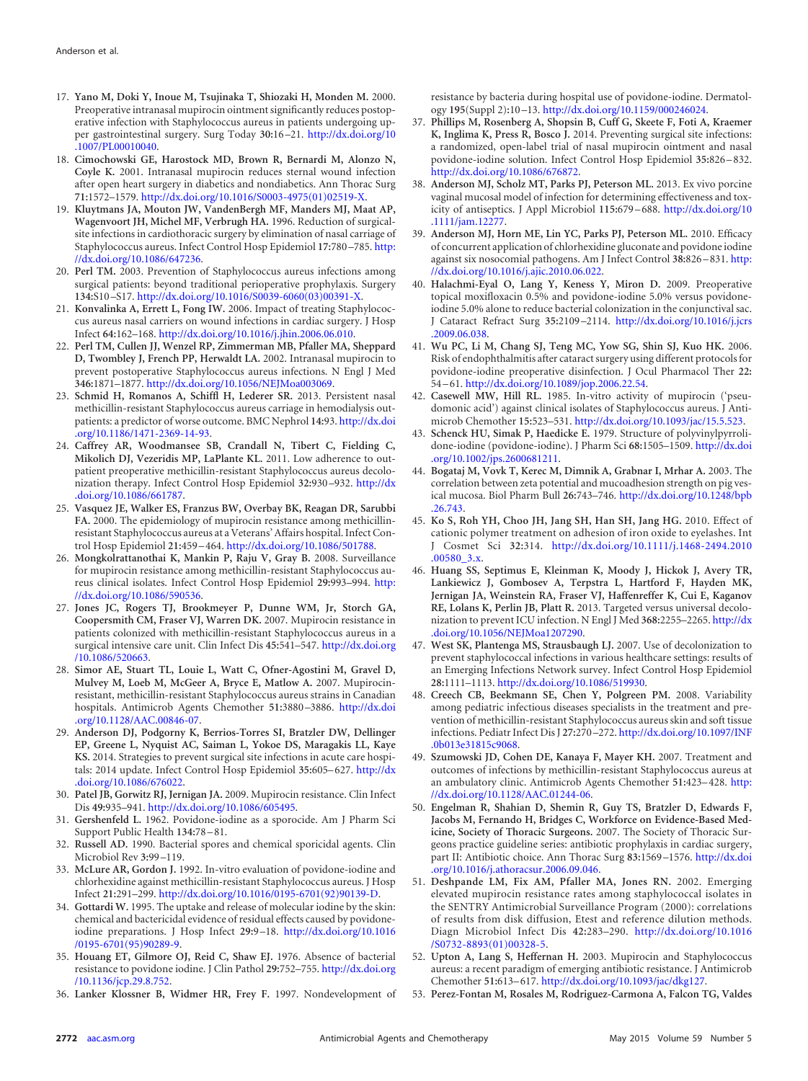- <span id="page-7-0"></span>17. **Yano M, Doki Y, Inoue M, Tsujinaka T, Shiozaki H, Monden M.** 2000. Preoperative intranasal mupirocin ointment significantly reduces postoperative infection with Staphylococcus aureus in patients undergoing upper gastrointestinal surgery. Surg Today **30:**16 –21. [http://dx.doi.org/10](http://dx.doi.org/10.1007/PL00010040) [.1007/PL00010040.](http://dx.doi.org/10.1007/PL00010040)
- <span id="page-7-1"></span>18. **Cimochowski GE, Harostock MD, Brown R, Bernardi M, Alonzo N, Coyle K.** 2001. Intranasal mupirocin reduces sternal wound infection after open heart surgery in diabetics and nondiabetics. Ann Thorac Surg **71:**1572–1579. [http://dx.doi.org/10.1016/S0003-4975\(01\)02519-X.](http://dx.doi.org/10.1016/S0003-4975(01)02519-X)
- <span id="page-7-2"></span>19. **Kluytmans JA, Mouton JW, VandenBergh MF, Manders MJ, Maat AP, Wagenvoort JH, Michel MF, Verbrugh HA.** 1996. Reduction of surgicalsite infections in cardiothoracic surgery by elimination of nasal carriage of Staphylococcus aureus. Infect Control Hosp Epidemiol **17:**780 –785. [http:](http://dx.doi.org/10.1086/647236) [//dx.doi.org/10.1086/647236.](http://dx.doi.org/10.1086/647236)
- <span id="page-7-3"></span>20. **Perl TM.** 2003. Prevention of Staphylococcus aureus infections among surgical patients: beyond traditional perioperative prophylaxis. Surgery **134:**S10 –S17. [http://dx.doi.org/10.1016/S0039-6060\(03\)00391-X.](http://dx.doi.org/10.1016/S0039-6060(03)00391-X)
- <span id="page-7-4"></span>21. **Konvalinka A, Errett L, Fong IW.** 2006. Impact of treating Staphylococcus aureus nasal carriers on wound infections in cardiac surgery. J Hosp Infect **64:**162–168. [http://dx.doi.org/10.1016/j.jhin.2006.06.010.](http://dx.doi.org/10.1016/j.jhin.2006.06.010)
- <span id="page-7-5"></span>22. **Perl TM, Cullen JJ, Wenzel RP, Zimmerman MB, Pfaller MA, Sheppard D, Twombley J, French PP, Herwaldt LA.** 2002. Intranasal mupirocin to prevent postoperative Staphylococcus aureus infections. N Engl J Med **346:**1871–1877. [http://dx.doi.org/10.1056/NEJMoa003069.](http://dx.doi.org/10.1056/NEJMoa003069)
- <span id="page-7-6"></span>23. **Schmid H, Romanos A, Schiffl H, Lederer SR.** 2013. Persistent nasal methicillin-resistant Staphylococcus aureus carriage in hemodialysis outpatients: a predictor of worse outcome. BMC Nephrol **14:**93. [http://dx.doi](http://dx.doi.org/10.1186/1471-2369-14-93) [.org/10.1186/1471-2369-14-93.](http://dx.doi.org/10.1186/1471-2369-14-93)
- <span id="page-7-7"></span>24. **Caffrey AR, Woodmansee SB, Crandall N, Tibert C, Fielding C, Mikolich DJ, Vezeridis MP, LaPlante KL.** 2011. Low adherence to outpatient preoperative methicillin-resistant Staphylococcus aureus decolonization therapy. Infect Control Hosp Epidemiol **32:**930 –932. [http://dx](http://dx.doi.org/10.1086/661787) [.doi.org/10.1086/661787.](http://dx.doi.org/10.1086/661787)
- <span id="page-7-8"></span>25. **Vasquez JE, Walker ES, Franzus BW, Overbay BK, Reagan DR, Sarubbi FA.** 2000. The epidemiology of mupirocin resistance among methicillinresistant Staphylococcus aureus at a Veterans' Affairs hospital. Infect Control Hosp Epidemiol **21:**459 –464. [http://dx.doi.org/10.1086/501788.](http://dx.doi.org/10.1086/501788)
- <span id="page-7-9"></span>26. **Mongkolrattanothai K, Mankin P, Raju V, Gray B.** 2008. Surveillance for mupirocin resistance among methicillin-resistant Staphylococcus aureus clinical isolates. Infect Control Hosp Epidemiol **29:**993–994. [http:](http://dx.doi.org/10.1086/590536) [//dx.doi.org/10.1086/590536.](http://dx.doi.org/10.1086/590536)
- <span id="page-7-10"></span>27. **Jones JC, Rogers TJ, Brookmeyer P, Dunne WM, Jr, Storch GA, Coopersmith CM, Fraser VJ, Warren DK.** 2007. Mupirocin resistance in patients colonized with methicillin-resistant Staphylococcus aureus in a surgical intensive care unit. Clin Infect Dis **45:**541–547. [http://dx.doi.org](http://dx.doi.org/10.1086/520663) [/10.1086/520663.](http://dx.doi.org/10.1086/520663)
- <span id="page-7-11"></span>28. **Simor AE, Stuart TL, Louie L, Watt C, Ofner-Agostini M, Gravel D, Mulvey M, Loeb M, McGeer A, Bryce E, Matlow A.** 2007. Mupirocinresistant, methicillin-resistant Staphylococcus aureus strains in Canadian hospitals. Antimicrob Agents Chemother **51:**3880 –3886. [http://dx.doi](http://dx.doi.org/10.1128/AAC.00846-07) [.org/10.1128/AAC.00846-07.](http://dx.doi.org/10.1128/AAC.00846-07)
- <span id="page-7-12"></span>29. **Anderson DJ, Podgorny K, Berrios-Torres SI, Bratzler DW, Dellinger EP, Greene L, Nyquist AC, Saiman L, Yokoe DS, Maragakis LL, Kaye KS.** 2014. Strategies to prevent surgical site infections in acute care hospitals: 2014 update. Infect Control Hosp Epidemiol **35:**605–627. [http://dx](http://dx.doi.org/10.1086/676022) [.doi.org/10.1086/676022.](http://dx.doi.org/10.1086/676022)
- <span id="page-7-14"></span><span id="page-7-13"></span>30. **Patel JB, Gorwitz RJ, Jernigan JA.** 2009. Mupirocin resistance. Clin Infect Dis **49:**935–941. [http://dx.doi.org/10.1086/605495.](http://dx.doi.org/10.1086/605495)
- <span id="page-7-15"></span>31. **Gershenfeld L.** 1962. Povidone-iodine as a sporocide. Am J Pharm Sci Support Public Health **134:**78 –81.
- <span id="page-7-16"></span>32. **Russell AD.** 1990. Bacterial spores and chemical sporicidal agents. Clin Microbiol Rev **3:**99 –119.
- <span id="page-7-17"></span>33. **McLure AR, Gordon J.** 1992. In-vitro evaluation of povidone-iodine and chlorhexidine against methicillin-resistant Staphylococcus aureus. J Hosp Infect **21:**291–299. [http://dx.doi.org/10.1016/0195-6701\(92\)90139-D.](http://dx.doi.org/10.1016/0195-6701(92)90139-D)
- 34. **Gottardi W.** 1995. The uptake and release of molecular iodine by the skin: chemical and bactericidal evidence of residual effects caused by povidoneiodine preparations. J Hosp Infect **29:**9 –18. [http://dx.doi.org/10.1016](http://dx.doi.org/10.1016/0195-6701(95)90289-9) [/0195-6701\(95\)90289-9.](http://dx.doi.org/10.1016/0195-6701(95)90289-9)
- <span id="page-7-19"></span><span id="page-7-18"></span>35. **Houang ET, Gilmore OJ, Reid C, Shaw EJ.** 1976. Absence of bacterial resistance to povidone iodine. J Clin Pathol **29:**752–755. [http://dx.doi.org](http://dx.doi.org/10.1136/jcp.29.8.752) [/10.1136/jcp.29.8.752.](http://dx.doi.org/10.1136/jcp.29.8.752)
- 36. **Lanker Klossner B, Widmer HR, Frey F.** 1997. Nondevelopment of

resistance by bacteria during hospital use of povidone-iodine. Dermatology **195**(Suppl 2)**:**10 –13. [http://dx.doi.org/10.1159/000246024.](http://dx.doi.org/10.1159/000246024)

- <span id="page-7-20"></span>37. **Phillips M, Rosenberg A, Shopsin B, Cuff G, Skeete F, Foti A, Kraemer K, Inglima K, Press R, Bosco J.** 2014. Preventing surgical site infections: a randomized, open-label trial of nasal mupirocin ointment and nasal povidone-iodine solution. Infect Control Hosp Epidemiol **35:**826 –832. [http://dx.doi.org/10.1086/676872.](http://dx.doi.org/10.1086/676872)
- <span id="page-7-21"></span>38. **Anderson MJ, Scholz MT, Parks PJ, Peterson ML.** 2013. Ex vivo porcine vaginal mucosal model of infection for determining effectiveness and toxicity of antiseptics. J Appl Microbiol **115:**679 –688. [http://dx.doi.org/10](http://dx.doi.org/10.1111/jam.12277) [.1111/jam.12277.](http://dx.doi.org/10.1111/jam.12277)
- <span id="page-7-22"></span>39. **Anderson MJ, Horn ME, Lin YC, Parks PJ, Peterson ML.** 2010. Efficacy of concurrent application of chlorhexidine gluconate and povidone iodine against six nosocomial pathogens. Am J Infect Control **38:**826 –831. [http:](http://dx.doi.org/10.1016/j.ajic.2010.06.022) [//dx.doi.org/10.1016/j.ajic.2010.06.022.](http://dx.doi.org/10.1016/j.ajic.2010.06.022)
- <span id="page-7-23"></span>40. **Halachmi-Eyal O, Lang Y, Keness Y, Miron D.** 2009. Preoperative topical moxifloxacin 0.5% and povidone-iodine 5.0% versus povidoneiodine 5.0% alone to reduce bacterial colonization in the conjunctival sac. J Cataract Refract Surg **35:**2109 –2114. [http://dx.doi.org/10.1016/j.jcrs](http://dx.doi.org/10.1016/j.jcrs.2009.06.038) [.2009.06.038.](http://dx.doi.org/10.1016/j.jcrs.2009.06.038)
- <span id="page-7-24"></span>41. **Wu PC, Li M, Chang SJ, Teng MC, Yow SG, Shin SJ, Kuo HK.** 2006. Risk of endophthalmitis after cataract surgery using different protocols for povidone-iodine preoperative disinfection. J Ocul Pharmacol Ther **22:** 54 –61. [http://dx.doi.org/10.1089/jop.2006.22.54.](http://dx.doi.org/10.1089/jop.2006.22.54)
- <span id="page-7-25"></span>42. **Casewell MW, Hill RL.** 1985. In-vitro activity of mupirocin ('pseudomonic acid') against clinical isolates of Staphylococcus aureus. J Antimicrob Chemother **15:**523–531. [http://dx.doi.org/10.1093/jac/15.5.523.](http://dx.doi.org/10.1093/jac/15.5.523)
- <span id="page-7-26"></span>43. **Schenck HU, Simak P, Haedicke E.** 1979. Structure of polyvinylpyrrolidone-iodine (povidone-iodine). J Pharm Sci **68:**1505–1509. [http://dx.doi](http://dx.doi.org/10.1002/jps.2600681211) [.org/10.1002/jps.2600681211.](http://dx.doi.org/10.1002/jps.2600681211)
- <span id="page-7-27"></span>44. **Bogataj M, Vovk T, Kerec M, Dimnik A, Grabnar I, Mrhar A.** 2003. The correlation between zeta potential and mucoadhesion strength on pig vesical mucosa. Biol Pharm Bull **26:**743–746. [http://dx.doi.org/10.1248/bpb](http://dx.doi.org/10.1248/bpb.26.743) [.26.743.](http://dx.doi.org/10.1248/bpb.26.743)
- <span id="page-7-28"></span>45. **Ko S, Roh YH, Choo JH, Jang SH, Han SH, Jang HG.** 2010. Effect of cationic polymer treatment on adhesion of iron oxide to eyelashes. Int J Cosmet Sci **32:**314. [http://dx.doi.org/10.1111/j.1468-2494.2010](http://dx.doi.org/10.1111/j.1468-2494.2010.00580_3.x) [.00580\\_3.x.](http://dx.doi.org/10.1111/j.1468-2494.2010.00580_3.x)
- <span id="page-7-29"></span>46. **Huang SS, Septimus E, Kleinman K, Moody J, Hickok J, Avery TR, Lankiewicz J, Gombosev A, Terpstra L, Hartford F, Hayden MK, Jernigan JA, Weinstein RA, Fraser VJ, Haffenreffer K, Cui E, Kaganov RE, Lolans K, Perlin JB, Platt R.** 2013. Targeted versus universal decolonization to prevent ICU infection. N Engl J Med **368:**2255–2265. [http://dx](http://dx.doi.org/10.1056/NEJMoa1207290) [.doi.org/10.1056/NEJMoa1207290.](http://dx.doi.org/10.1056/NEJMoa1207290)
- <span id="page-7-30"></span>47. **West SK, Plantenga MS, Strausbaugh LJ.** 2007. Use of decolonization to prevent staphylococcal infections in various healthcare settings: results of an Emerging Infections Network survey. Infect Control Hosp Epidemiol **28:**1111–1113. [http://dx.doi.org/10.1086/519930.](http://dx.doi.org/10.1086/519930)
- <span id="page-7-31"></span>48. **Creech CB, Beekmann SE, Chen Y, Polgreen PM.** 2008. Variability among pediatric infectious diseases specialists in the treatment and prevention of methicillin-resistant Staphylococcus aureus skin and soft tissue infections. Pediatr Infect Dis J **27:**270 –272. [http://dx.doi.org/10.1097/INF](http://dx.doi.org/10.1097/INF.0b013e31815c9068) [.0b013e31815c9068.](http://dx.doi.org/10.1097/INF.0b013e31815c9068)
- <span id="page-7-32"></span>49. **Szumowski JD, Cohen DE, Kanaya F, Mayer KH.** 2007. Treatment and outcomes of infections by methicillin-resistant Staphylococcus aureus at an ambulatory clinic. Antimicrob Agents Chemother **51:**423–428. [http:](http://dx.doi.org/10.1128/AAC.01244-06) [//dx.doi.org/10.1128/AAC.01244-06.](http://dx.doi.org/10.1128/AAC.01244-06)
- <span id="page-7-33"></span>50. **Engelman R, Shahian D, Shemin R, Guy TS, Bratzler D, Edwards F, Jacobs M, Fernando H, Bridges C, Workforce on Evidence-Based Medicine, Society of Thoracic Surgeons.** 2007. The Society of Thoracic Surgeons practice guideline series: antibiotic prophylaxis in cardiac surgery, part II: Antibiotic choice. Ann Thorac Surg **83:**1569 –1576. [http://dx.doi](http://dx.doi.org/10.1016/j.athoracsur.2006.09.046) [.org/10.1016/j.athoracsur.2006.09.046.](http://dx.doi.org/10.1016/j.athoracsur.2006.09.046)
- <span id="page-7-34"></span>51. **Deshpande LM, Fix AM, Pfaller MA, Jones RN.** 2002. Emerging elevated mupirocin resistance rates among staphylococcal isolates in the SENTRY Antimicrobial Surveillance Program (2000): correlations of results from disk diffusion, Etest and reference dilution methods. Diagn Microbiol Infect Dis **42:**283–290. [http://dx.doi.org/10.1016](http://dx.doi.org/10.1016/S0732-8893(01)00328-5) [/S0732-8893\(01\)00328-5.](http://dx.doi.org/10.1016/S0732-8893(01)00328-5)
- <span id="page-7-36"></span><span id="page-7-35"></span>52. **Upton A, Lang S, Heffernan H.** 2003. Mupirocin and Staphylococcus aureus: a recent paradigm of emerging antibiotic resistance. J Antimicrob Chemother **51:**613–617. [http://dx.doi.org/10.1093/jac/dkg127.](http://dx.doi.org/10.1093/jac/dkg127)
- 53. **Perez-Fontan M, Rosales M, Rodriguez-Carmona A, Falcon TG, Valdes**